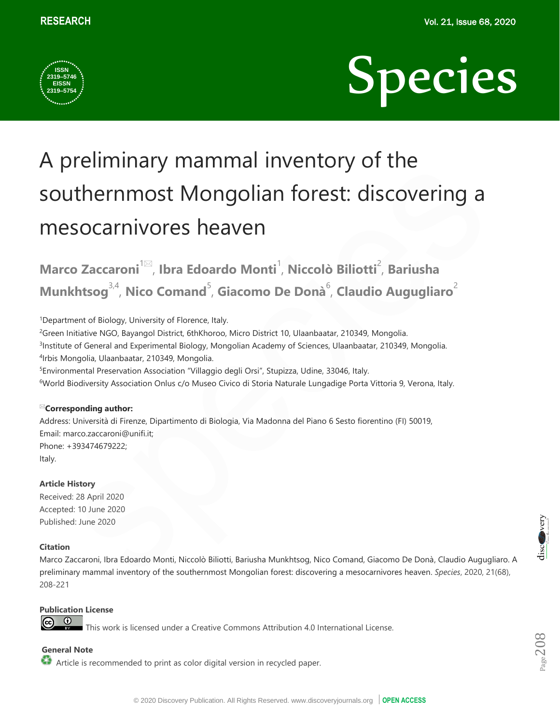



# A preliminary mammal inventory of the southernmost Mongolian forest: discovering a mesocarnivores heaven

Marco Zaccaroni<sup>1⊠</sup>, Ibra Edoardo Monti<sup>1</sup>, Niccolò Biliotti<sup>2</sup>, Bariusha Munkhtsog<sup>3,4</sup>, Nico Comand<sup>5</sup>, Giacomo De Donà<sup>6</sup>, Claudio Augugliaro<sup>2</sup>

<sup>1</sup>Department of Biology, University of Florence, Italy.

<sup>2</sup>Green Initiative NGO, Bayangol District, 6thKhoroo, Micro District 10, Ulaanbaatar, 210349, Mongolia. 3 Institute of General and Experimental Biology, Mongolian Academy of Sciences, Ulaanbaatar, 210349, Mongolia. 4 Irbis Mongolia, Ulaanbaatar, 210349, Mongolia.

<sup>5</sup>Environmental Preservation Association "Villaggio degli Orsi", Stupizza, Udine, 33046, Italy.

<sup>6</sup>World Biodiversity Association Onlus c/o Museo Civico di Storia Naturale Lungadige Porta Vittoria 9, Verona, Italy.

## **Corresponding author:**

Address: Università di Firenze, Dipartimento di Biologia, Via Madonna del Piano 6 Sesto fiorentino (FI) 50019, Email: [marco.zaccaroni@unifi.it;](mailto:marco.zaccaroni@unifi.it)  Phone: +393474679222; Italy.

## **Article History**

Received: 28 April 2020 Accepted: 10 June 2020 Published: June 2020

## **Citation**

Marco Zaccaroni, Ibra Edoardo Monti, Niccolò Biliotti, Bariusha Munkhtsog, Nico Comand, Giacomo De Donà, Claudio Augugliaro. A preliminary mammal inventory of the southernmost Mongolian forest: discovering a mesocarnivores heaven. *Species*, 2020, 21(68), 208-221

## **Publication License**

 $\odot$ 

This work is licensed under a Creative Commons Attribution 4.0 International License.

# **General Note**

Article is recommended to print as color digital version in recycled paper.

disco very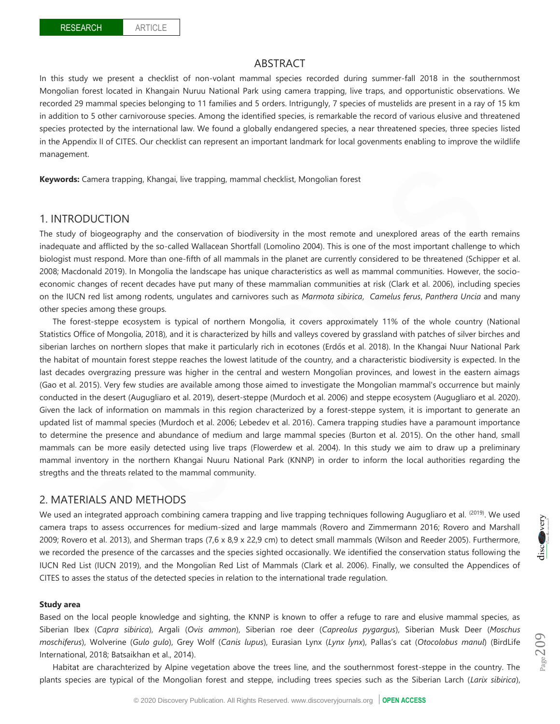## ABSTRACT

In this study we present a checklist of non-volant mammal species recorded during summer-fall 2018 in the southernmost Mongolian forest located in Khangain Nuruu National Park using camera trapping, live traps, and opportunistic observations. We recorded 29 mammal species belonging to 11 families and 5 orders. Intrigungly, 7 species of mustelids are present in a ray of 15 km in addition to 5 other carnivorouse species. Among the identified species, is remarkable the record of various elusive and threatened species protected by the international law. We found a globally endangered species, a near threatened species, three species listed in the Appendix II of CITES. Our checklist can represent an important landmark for local govenments enabling to improve the wildlife management.

**Keywords:** Camera trapping, Khangai, live trapping, mammal checklist, Mongolian forest

## 1. INTRODUCTION

The study of biogeography and the conservation of biodiversity in the most remote and unexplored areas of the earth remains inadequate and afflicted by the so-called Wallacean Shortfall (Lomolino 2004). This is one of the most important challenge to which biologist must respond. More than one-fifth of all mammals in the planet are currently considered to be threatened (Schipper et al. 2008; Macdonald 2019). In Mongolia the landscape has unique characteristics as well as mammal communities. However, the socioeconomic changes of recent decades have put many of these mammalian communities at risk (Clark et al. 2006), including species on the IUCN red list among rodents, ungulates and carnivores such as *Marmota sibirica*, *Camelus ferus*, *Panthera Uncia* and many other species among these groups.

The forest-steppe ecosystem is typical of northern Mongolia, it covers approximately 11% of the whole country (National Statistics Office of Mongolia, 2018), and it is characterized by hills and valleys covered by grassland with patches of silver birches and siberian larches on northern slopes that make it particularly rich in ecotones (Erdős et al. 2018). In the Khangai Nuur National Park the habitat of mountain forest steppe reaches the lowest latitude of the country, and a characteristic biodiversity is expected. In the last decades overgrazing pressure was higher in the central and western Mongolian provinces, and lowest in the eastern aimags (Gao et al. 2015). Very few studies are available among those aimed to investigate the Mongolian mammal's occurrence but mainly conducted in the desert (Augugliaro et al. 2019), desert-steppe (Murdoch et al. 2006) and steppe ecosystem (Augugliaro et al. 2020). Given the lack of information on mammals in this region characterized by a forest-steppe system, it is important to generate an updated list of mammal species (Murdoch et al. 2006; Lebedev et al. 2016). Camera trapping studies have a paramount importance to determine the presence and abundance of medium and large mammal species (Burton et al. 2015). On the other hand, small mammals can be more easily detected using live traps (Flowerdew et al. 2004). In this study we aim to draw up a preliminary mammal inventory in the northern Khangai Nuuru National Park (KNNP) in order to inform the local authorities regarding the stregths and the threats related to the mammal community.

# 2. MATERIALS AND METHODS

We used an integrated approach combining camera trapping and live trapping techniques following Augugliaro et al. (2019). We used camera traps to assess occurrences for medium-sized and large mammals (Rovero and Zimmermann 2016; Rovero and Marshall 2009; Rovero et al. 2013), and Sherman traps (7,6 x 8,9 x 22,9 cm) to detect small mammals (Wilson and Reeder 2005). Furthermore, we recorded the presence of the carcasses and the species sighted occasionally. We identified the conservation status following the IUCN Red List (IUCN 2019), and the Mongolian Red List of Mammals (Clark et al. 2006). Finally, we consulted the Appendices of CITES to asses the status of the detected species in relation to the international trade regulation.

#### **Study area**

Based on the local people knowledge and sighting, the KNNP is known to offer a refuge to rare and elusive mammal species, as Siberian Ibex (*Capra sibirica*), Argali (*Ovis ammon*), Siberian roe deer (*Capreolus pygargus*), Siberian Musk Deer (*Moschus moschiferus*), Wolverine (*Gulo gulo*), Grey Wolf (*Canis lupus*), Eurasian Lynx (*Lynx lynx*), Pallas's cat (*Otocolobus manul*) (BirdLife International, 2018; Batsaikhan et al., 2014).

Habitat are charachterized by Alpine vegetation above the trees line, and the southernmost forest-steppe in the country. The plants species are typical of the Mongolian forest and steppe, including trees species such as the Siberian Larch (*Larix sibirica*),



 $_{\rm Page}$ 209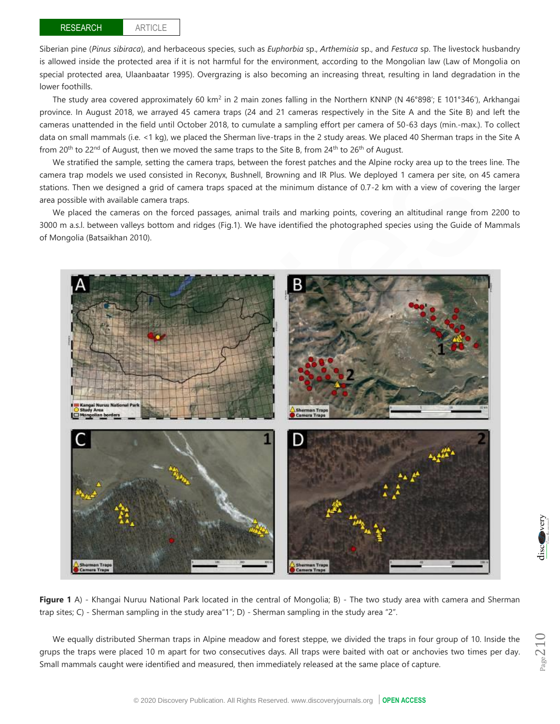### ARTICLE

Siberian pine (*Pinus sibiraca*), and herbaceous species, such as *Euphorbia* sp., *Arthemisia* sp., and *Festuca* sp. The livestock husbandry is allowed inside the protected area if it is not harmful for the environment, according to the Mongolian law (Law of Mongolia on special protected area, Ulaanbaatar 1995). Overgrazing is also becoming an increasing threat, resulting in land degradation in the lower foothills.

The study area covered approximately 60 km<sup>2</sup> in 2 main zones falling in the Northern KNNP (N 46°898′; E 101°346′), Arkhangai province. In August 2018, we arrayed 45 camera traps (24 and 21 cameras respectively in the Site A and the Site B) and left the cameras unattended in the field until October 2018, to cumulate a sampling effort per camera of 50-63 days (min.-max.). To collect data on small mammals (i.e. <1 kg), we placed the Sherman live-traps in the 2 study areas. We placed 40 Sherman traps in the Site A from 20<sup>th</sup> to 22<sup>nd</sup> of August, then we moved the same traps to the Site B, from 24<sup>th</sup> to 26<sup>th</sup> of August.

We stratified the sample, setting the camera traps, between the forest patches and the Alpine rocky area up to the trees line. The camera trap models we used consisted in Reconyx, Bushnell, Browning and IR Plus. We deployed 1 camera per site, on 45 camera stations. Then we designed a grid of camera traps spaced at the minimum distance of 0.7-2 km with a view of covering the larger area possible with available camera traps.

We placed the cameras on the forced passages, animal trails and marking points, covering an altitudinal range from 2200 to 3000 m a.s.l. between valleys bottom and ridges (Fig.1). We have identified the photographed species using the Guide of Mammals of Mongolia (Batsaikhan 2010).



**Figure 1** A) - Khangai Nuruu National Park located in the central of Mongolia; B) - The two study area with camera and Sherman trap sites; C) - Sherman sampling in the study area"1"; D) - Sherman sampling in the study area "2".

We equally distributed Sherman traps in Alpine meadow and forest steppe, we divided the traps in four group of 10. Inside the grups the traps were placed 10 m apart for two consecutives days. All traps were baited with oat or anchovies two times per day. Small mammals caught were identified and measured, then immediately released at the same place of capture.

$$
\underline{\operatorname{disc}}(\bullet)
$$

ery

Page210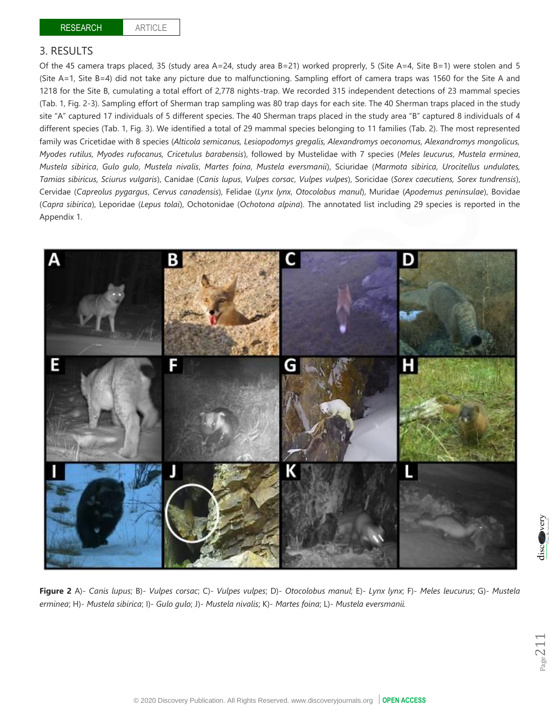# 3. RESULTS

Of the 45 camera traps placed, 35 (study area A=24, study area B=21) worked proprerly, 5 (Site A=4, Site B=1) were stolen and 5 (Site A=1, Site B=4) did not take any picture due to malfunctioning. Sampling effort of camera traps was 1560 for the Site A and 1218 for the Site B, cumulating a total effort of 2,778 nights-trap. We recorded 315 independent detections of 23 mammal species (Tab. 1, Fig. 2-3). Sampling effort of Sherman trap sampling was 80 trap days for each site. The 40 Sherman traps placed in the study site "A" captured 17 individuals of 5 different species. The 40 Sherman traps placed in the study area "B" captured 8 individuals of 4 different species (Tab. 1, Fig. 3). We identified a total of 29 mammal species belonging to 11 families (Tab. 2). The most represented family was Cricetidae with 8 species (*Alticola semicanus, Lesiopodomys gregalis, Alexandromys oeconomus, Alexandromys mongolicus, Myodes rutilus, Myodes rufocanus, Cricetulus barabensis*), followed by Mustelidae with 7 species (*Meles leucurus*, *Mustela erminea*, *Mustela sibirica*, *Gulo gulo*, *Mustela nivalis*, *Martes foina*, *Mustela eversmanii*), Sciuridae (*Marmota sibirica, Urocitellus undulates, Tamias sibiricus, Sciurus vulgaris*), Canidae (*Canis lupus*, *Vulpes corsac*, *Vulpes vulpes*), Soricidae (*Sorex caecutiens, Sorex tundrensis*), Cervidae (*Capreolus pygargus*, *Cervus canadensis*), Felidae (*Lynx lynx*, *Otocolobus manul*), Muridae (*Apodemus peninsulae*), Bovidae (*Capra sibirica*), Leporidae (*Lepus tolai*), Ochotonidae (*Ochotona alpina*). The annotated list including 29 species is reported in the Appendix 1.



**Figure 2** A)- *Canis lupus*; B)- *Vulpes corsac*; C)- *Vulpes vulpes*; D)- *Otocolobus manul*; E)- *Lynx lynx*; F)- *Meles leucurus*; G)- *Mustela erminea*; H)- *Mustela sibirica*; I)- *Gulo gulo*; J)- *Mustela nivalis*; K)- *Martes foina*; L)- *Mustela eversmanii.*

 $Page2$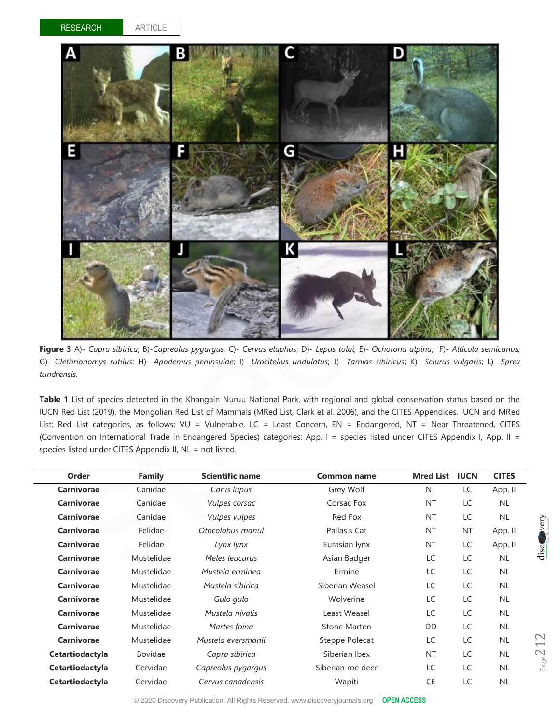



**Figure 3** A)- *Capra sibirica*; B)-*Capreolus pygargus;* C)- *Cervus elaphus*; D)- *Lepus tolai*; E)- *Ochotona alpina*; F)- *Alticola semicanus;* G)- *Clethrionomys rutilus*; H)- *Apodemus peninsulae*; I)- *Urocitellus undulatus*; J)- *Tamias sibiricus*; K)- *Sciurus vulgaris*; L)- *Sprex tundrensis.*

**Table 1** List of species detected in the Khangain Nuruu National Park, with regional and global conservation status based on the IUCN Red List (2019), the Mongolian Red List of Mammals (MRed List, Clark et al. 2006), and the CITES Appendices. IUCN and MRed List: Red List categories, as follows: VU = Vulnerable, LC = Least Concern, EN = Endangered, NT = Near Threatened. CITES (Convention on International Trade in Endangered Species) categories: App. I = species listed under CITES Appendix I, App. II = species listed under CITES Appendix II, NL = not listed.

| Order             | <b>Family</b>  | <b>Scientific name</b> | <b>Common name</b>  | <b>Mred List</b> | <b>IUCN</b> | <b>CITES</b> |
|-------------------|----------------|------------------------|---------------------|------------------|-------------|--------------|
| Carnivorae        | Canidae        | Canis lupus            | Grey Wolf           | <b>NT</b>        | LC          | App. II      |
| <b>Carnivorae</b> | Canidae        | Vulpes corsac          | Corsac Fox          | <b>NT</b>        | LC          | <b>NL</b>    |
| <b>Carnivorae</b> | Canidae        | Vulpes vulpes          | Red Fox             | <b>NT</b>        | LC          | <b>NL</b>    |
| Carnivorae        | Felidae        | Otocolobus manul       | Pallas's Cat        | <b>NT</b>        | NT          | App. II      |
| Carnivorae        | Felidae        | Lynx lynx              | Eurasian lynx       | <b>NT</b>        | LC          | App. II      |
| Carnivorae        | Mustelidae     | Meles leucurus         | Asian Badger        | LC               | LC          | <b>NL</b>    |
| Carnivorae        | Mustelidae     | Mustela erminea        | Ermine              | LC               | LC          | <b>NL</b>    |
| Carnivorae        | Mustelidae     | Mustela sibirica       | Siberian Weasel     | LC               | LC          | <b>NL</b>    |
| <b>Carnivorae</b> | Mustelidae     | Gulo gulo              | Wolverine           | LC               | LC          | <b>NL</b>    |
| <b>Carnivorae</b> | Mustelidae     | Mustela nivalis        | Least Weasel        | LC               | LC          | <b>NL</b>    |
| Carnivorae        | Mustelidae     | Martes foina           | <b>Stone Marten</b> | DD               | LC          | <b>NL</b>    |
| Carnivorae        | Mustelidae     | Mustela eversmanii     | Steppe Polecat      | LC               | LC          | <b>NL</b>    |
| Cetartiodactyla   | <b>Bovidae</b> | Capra sibirica         | Siberian Ibex       | <b>NT</b>        | LC          | <b>NL</b>    |
| Cetartiodactyla   | Cervidae       | Capreolus pygargus     | Siberian roe deer   | LC               | LC          | <b>NL</b>    |
| Cetartiodactyla   | Cervidae       | Cervus canadensis      | Wapiti              | <b>CE</b>        | LC          | <b>NL</b>    |
|                   |                |                        |                     |                  |             |              |

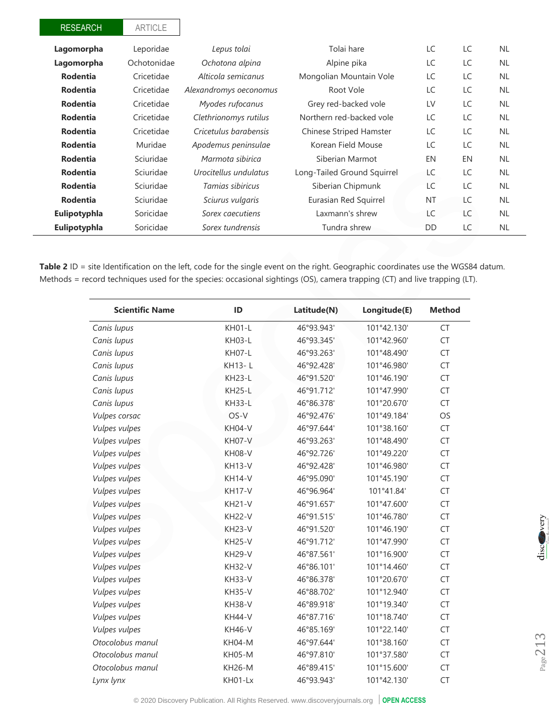| <b>RESEARCH</b> | <b>ARTICLE</b> |                        |                                |           |     |           |
|-----------------|----------------|------------------------|--------------------------------|-----------|-----|-----------|
| Lagomorpha      | Leporidae      | Lepus tolai            | Tolai hare                     | LC        | LC  | <b>NL</b> |
| Lagomorpha      | Ochotonidae    | Ochotona alpina        | Alpine pika                    | LC        | LC  | <b>NL</b> |
| <b>Rodentia</b> | Cricetidae     | Alticola semicanus     | Mongolian Mountain Vole        | LC        | LC  | <b>NL</b> |
| <b>Rodentia</b> | Cricetidae     | Alexandromys oeconomus | Root Vole                      | LC        | LC  | <b>NL</b> |
| <b>Rodentia</b> | Cricetidae     | Myodes rufocanus       | Grey red-backed vole           | LV        | LC. | <b>NL</b> |
| <b>Rodentia</b> | Cricetidae     | Clethrionomys rutilus  | Northern red-backed vole       | LC        | LC  | <b>NL</b> |
| <b>Rodentia</b> | Cricetidae     | Cricetulus barabensis  | <b>Chinese Striped Hamster</b> | LC        | LC  | <b>NL</b> |
| <b>Rodentia</b> | Muridae        | Apodemus peninsulae    | Korean Field Mouse             | LC        | LC  | <b>NL</b> |
| <b>Rodentia</b> | Sciuridae      | Marmota sibirica       | Siberian Marmot                | EN        | EN  | <b>NL</b> |
| <b>Rodentia</b> | Sciuridae      | Urocitellus undulatus  | Long-Tailed Ground Squirrel    | LC        | LC  | <b>NL</b> |
| <b>Rodentia</b> | Sciuridae      | Tamias sibiricus       | Siberian Chipmunk              | LC        | LC. | <b>NL</b> |
| <b>Rodentia</b> | Sciuridae      | Sciurus vulgaris       | Eurasian Red Squirrel          | <b>NT</b> | LC  | <b>NL</b> |
| Eulipotyphla    | Soricidae      | Sorex caecutiens       | Laxmann's shrew                | LC        | LC  | <b>NL</b> |
| Eulipotyphla    | Soricidae      | Sorex tundrensis       | Tundra shrew                   | DD        | LC  | <b>NL</b> |

Table 2 ID = site Identification on the left, code for the single event on the right. Geographic coordinates use the WGS84 datum. Methods = record techniques used for the species: occasional sightings (OS), camera trapping (CT) and live trapping (LT).

| <b>Scientific Name</b> | ID            | Latitude(N) | Longitude(E) | <b>Method</b> |
|------------------------|---------------|-------------|--------------|---------------|
| Canis lupus            | <b>KH01-L</b> | 46°93.943'  | 101°42.130'  | <b>CT</b>     |
| Canis lupus            | <b>KH03-L</b> | 46°93.345'  | 101°42.960'  | <b>CT</b>     |
| Canis lupus            | KH07-L        | 46°93.263'  | 101°48.490'  | <b>CT</b>     |
| Canis lupus            | KH13-L        | 46°92.428'  | 101°46.980'  | <b>CT</b>     |
| Canis lupus            | <b>KH23-L</b> | 46°91.520'  | 101°46.190'  | CT            |
| Canis lupus            | <b>KH25-L</b> | 46°91.712'  | 101°47.990'  | <b>CT</b>     |
| Canis lupus            | <b>KH33-L</b> | 46°86.378'  | 101°20.670'  | <b>CT</b>     |
| Vulpes corsac          | OS-V          | 46°92.476'  | 101°49.184'  | OS            |
| Vulpes vulpes          | <b>KH04-V</b> | 46°97.644'  | 101°38.160'  | CT            |
| Vulpes vulpes          | KH07-V        | 46°93.263'  | 101°48.490'  | <b>CT</b>     |
| Vulpes vulpes          | <b>KH08-V</b> | 46°92.726'  | 101°49.220'  | CT            |
| Vulpes vulpes          | <b>KH13-V</b> | 46°92.428'  | 101°46.980'  | CT            |
| Vulpes vulpes          | <b>KH14-V</b> | 46°95.090'  | 101°45.190'  | CT            |
| Vulpes vulpes          | <b>KH17-V</b> | 46°96.964'  | 101°41.84'   | CT            |
| Vulpes vulpes          | <b>KH21-V</b> | 46°91.657'  | 101°47.600'  | <b>CT</b>     |
| Vulpes vulpes          | <b>KH22-V</b> | 46°91.515'  | 101°46.780'  | <b>CT</b>     |
| Vulpes vulpes          | <b>KH23-V</b> | 46°91.520'  | 101°46.190'  | <b>CT</b>     |
| Vulpes vulpes          | <b>KH25-V</b> | 46°91.712'  | 101°47.990'  | CT            |
| Vulpes vulpes          | <b>KH29-V</b> | 46°87.561'  | 101°16.900'  | CT            |
| Vulpes vulpes          | <b>KH32-V</b> | 46°86.101'  | 101°14.460'  | CT            |
| Vulpes vulpes          | <b>KH33-V</b> | 46°86.378'  | 101°20.670'  | CT            |
| Vulpes vulpes          | <b>KH35-V</b> | 46°88.702'  | 101°12.940'  | <b>CT</b>     |
| Vulpes vulpes          | <b>KH38-V</b> | 46°89.918'  | 101°19.340'  | <b>CT</b>     |
| Vulpes vulpes          | <b>KH44-V</b> | 46°87.716'  | 101°18.740'  | CT            |
| Vulpes vulpes          | <b>KH46-V</b> | 46°85.169'  | 101°22.140'  | <b>CT</b>     |
| Otocolobus manul       | <b>KH04-M</b> | 46°97.644'  | 101°38.160'  | CT            |
| Otocolobus manul       | <b>KH05-M</b> | 46°97.810'  | 101°37.580'  | CT            |
| Otocolobus manul       | <b>KH26-M</b> | 46°89.415'  | 101°15.600'  | <b>CT</b>     |
| Lynx lynx              | KH01-Lx       | 46°93.943'  | 101°42.130'  | <b>CT</b>     |

 $_{Page}$ 213

© 2020 Discovery Publication. All Rights Reserved. www.discoveryjournals.org **OPEN ACCESS**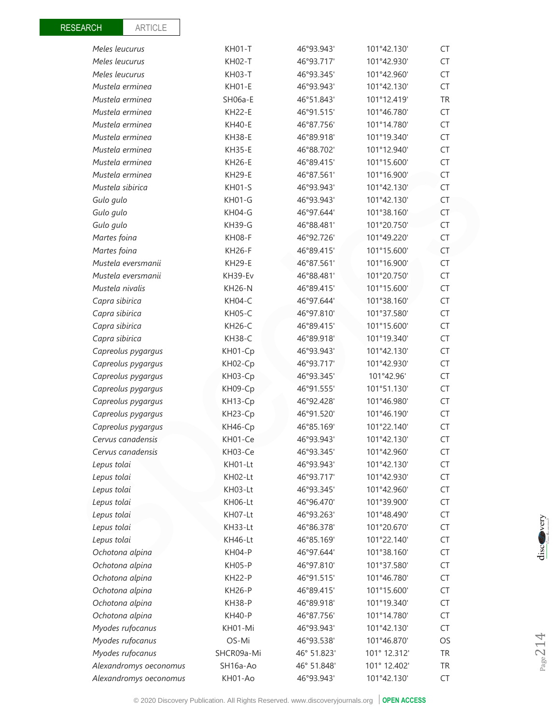| Meles leucurus         | <b>KH02-T</b> | 46°93.717'  | 101°42.930'  | CT        |
|------------------------|---------------|-------------|--------------|-----------|
| Meles leucurus         | <b>KH03-T</b> | 46°93.345'  | 101°42.960'  | <b>CT</b> |
| Mustela erminea        | <b>KH01-E</b> | 46°93.943'  | 101°42.130'  | <b>CT</b> |
| Mustela erminea        | SH06a-E       | 46°51.843'  | 101°12.419'  | <b>TR</b> |
| Mustela erminea        | <b>KH22-E</b> | 46°91.515'  | 101°46.780'  | <b>CT</b> |
| Mustela erminea        | <b>KH40-E</b> | 46°87.756'  | 101°14.780'  | <b>CT</b> |
| Mustela erminea        | <b>KH38-E</b> | 46°89.918'  | 101°19.340'  | <b>CT</b> |
| Mustela erminea        | <b>KH35-E</b> | 46°88.702'  | 101°12.940'  | CT        |
| Mustela erminea        | <b>KH26-E</b> | 46°89.415'  | 101°15.600'  | <b>CT</b> |
| Mustela erminea        | <b>KH29-E</b> | 46°87.561'  | 101°16.900'  | <b>CT</b> |
| Mustela sibirica       | <b>KH01-S</b> | 46°93.943'  | 101°42.130'  | <b>CT</b> |
| Gulo gulo              | KH01-G        | 46°93.943'  | 101°42.130'  | CT        |
| Gulo gulo              | KH04-G        | 46°97.644'  | 101°38.160'  | CT        |
| Gulo gulo              | <b>KH39-G</b> | 46°88.481'  | 101°20.750'  | <b>CT</b> |
| Martes foina           | KH08-F        | 46°92.726'  | 101°49.220'  | <b>CT</b> |
| Martes foina           | <b>KH26-F</b> | 46°89.415'  | 101°15.600'  | <b>CT</b> |
| Mustela eversmanii     | <b>KH29-E</b> | 46°87.561'  | 101°16.900'  | <b>CT</b> |
| Mustela eversmanii     | KH39-Ev       | 46°88.481'  | 101°20.750'  | <b>CT</b> |
| Mustela nivalis        | <b>KH26-N</b> | 46°89.415'  | 101°15.600'  | <b>CT</b> |
| Capra sibirica         | KH04-C        | 46°97.644'  | 101°38.160'  | <b>CT</b> |
| Capra sibirica         | <b>KH05-C</b> | 46°97.810'  | 101°37.580'  | <b>CT</b> |
| Capra sibirica         | <b>KH26-C</b> | 46°89.415'  | 101°15.600'  | <b>CT</b> |
| Capra sibirica         | <b>KH38-C</b> | 46°89.918'  | 101°19.340'  | <b>CT</b> |
| Capreolus pygargus     | KH01-Cp       | 46°93.943'  | 101°42.130'  | <b>CT</b> |
| Capreolus pygargus     | KH02-Cp       | 46°93.717'  | 101°42.930'  | CT        |
| Capreolus pygargus     | KH03-Cp       | 46°93.345'  | 101°42.96'   | <b>CT</b> |
| Capreolus pygargus     | KH09-Cp       | 46°91.555'  | 101°51.130'  | <b>CT</b> |
| Capreolus pygargus     | KH13-Cp       | 46°92.428'  | 101°46.980'  | CT        |
| Capreolus pygargus     | KH23-Cp       | 46°91.520'  | 101°46.190'  | CT        |
| Capreolus pygargus     | KH46-Cp       | 46°85.169'  | 101°22.140'  | CT        |
| Cervus canadensis      | KH01-Ce       | 46°93.943'  | 101°42.130'  | CT        |
| Cervus canadensis      | KH03-Ce       | 46°93.345'  | 101°42.960'  | <b>CT</b> |
| Lepus tolai            | KH01-Lt       | 46°93.943'  | 101°42.130'  | CT        |
| Lepus tolai            | KH02-Lt       | 46°93.717'  | 101°42.930'  | CT        |
| Lepus tolai            | KH03-Lt       | 46°93.345'  | 101°42.960'  | CT        |
| Lepus tolai            | KH06-Lt       | 46°96.470'  | 101°39.900'  | CT        |
| Lepus tolai            | KH07-Lt       | 46°93.263'  | 101°48.490'  | CT        |
| Lepus tolai            | KH33-Lt       | 46°86.378'  | 101°20.670'  | <b>CT</b> |
| Lepus tolai            | KH46-Lt       | 46°85.169'  | 101°22.140'  | CT        |
| Ochotona alpina        | <b>KH04-P</b> | 46°97.644'  | 101°38.160'  | CT        |
| Ochotona alpina        | <b>KH05-P</b> | 46°97.810'  | 101°37.580'  | CT        |
| Ochotona alpina        | <b>KH22-P</b> | 46°91.515'  | 101°46.780'  | CT        |
| Ochotona alpina        | <b>KH26-P</b> | 46°89.415'  | 101°15.600'  | <b>CT</b> |
| Ochotona alpina        | <b>KH38-P</b> | 46°89.918'  | 101°19.340'  | CT        |
| Ochotona alpina        | <b>KH40-P</b> | 46°87.756'  | 101°14.780'  | CT        |
| Myodes rufocanus       | KH01-Mi       | 46°93.943'  | 101°42.130'  | CT        |
| Myodes rufocanus       | OS-Mi         | 46°93.538'  | 101°46.870'  | OS        |
| Myodes rufocanus       | SHCR09a-Mi    | 46° 51.823' | 101° 12.312' | <b>TR</b> |
| Alexandromys oeconomus | SH16a-Ao      | 46° 51.848' | 101° 12.402' | <b>TR</b> |
| Alexandromys oeconomus | KH01-Ao       | 46°93.943'  | 101°42.130'  | CT        |

*Meles leucurus* KH01-T 46°93.943' 101°42.130' CT

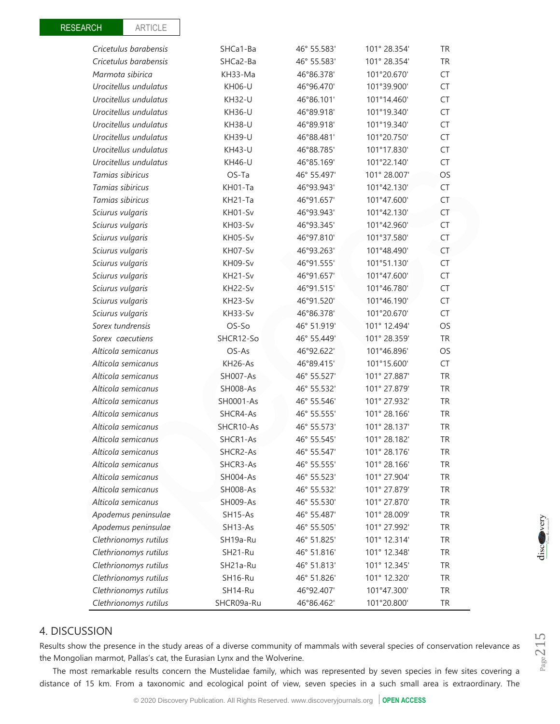| Cricetulus barabensis | SHCa1-Ba        | 46° 55.583' | 101° 28.354' | <b>TR</b> |
|-----------------------|-----------------|-------------|--------------|-----------|
| Cricetulus barabensis | SHCa2-Ba        | 46° 55.583' | 101° 28.354' | <b>TR</b> |
| Marmota sibirica      | KH33-Ma         | 46°86.378'  | 101°20.670'  | CT        |
| Urocitellus undulatus | KH06-U          | 46°96.470'  | 101°39.900'  | CT        |
| Urocitellus undulatus | <b>KH32-U</b>   | 46°86.101'  | 101°14.460'  | CT        |
| Urocitellus undulatus | <b>KH36-U</b>   | 46°89.918'  | 101°19.340'  | CT        |
| Urocitellus undulatus | <b>KH38-U</b>   | 46°89.918'  | 101°19.340'  | CT        |
| Urocitellus undulatus | <b>KH39-U</b>   | 46°88.481'  | 101°20.750'  | CT        |
| Urocitellus undulatus | <b>KH43-U</b>   | 46°88.785'  | 101°17.830'  | CT        |
| Urocitellus undulatus | <b>KH46-U</b>   | 46°85.169'  | 101°22.140'  | CT        |
| Tamias sibiricus      | OS-Ta           | 46° 55.497' | 101° 28.007' | OS        |
| Tamias sibiricus      | KH01-Ta         | 46°93.943'  | 101°42.130'  | CT        |
| Tamias sibiricus      | KH21-Ta         | 46°91.657'  | 101°47.600'  | CT        |
| Sciurus vulgaris      | KH01-Sv         | 46°93.943'  | 101°42.130'  | CT        |
| Sciurus vulgaris      | KH03-Sv         | 46°93.345'  | 101°42.960'  | CT        |
| Sciurus vulgaris      | KH05-Sv         | 46°97.810'  | 101°37.580'  | CT        |
| Sciurus vulgaris      | KH07-Sv         | 46°93.263'  | 101°48.490'  | CT        |
| Sciurus vulgaris      | KH09-Sv         | 46°91.555'  | 101°51.130'  | CT        |
| Sciurus vulgaris      | KH21-Sv         | 46°91.657'  | 101°47.600'  | CT        |
| Sciurus vulgaris      | KH22-Sv         | 46°91.515'  | 101°46.780'  | CT        |
| Sciurus vulgaris      | KH23-Sv         | 46°91.520'  | 101°46.190'  | CT        |
| Sciurus vulgaris      | KH33-Sv         | 46°86.378'  | 101°20.670'  | CT        |
| Sorex tundrensis      | OS-So           | 46° 51.919' | 101° 12.494' | OS        |
| Sorex caecutiens      | SHCR12-So       | 46° 55.449' | 101° 28.359' | <b>TR</b> |
| Alticola semicanus    | OS-As           | 46°92.622'  | 101°46.896'  | OS        |
| Alticola semicanus    | KH26-As         | 46°89.415'  | 101°15.600'  | CT        |
| Alticola semicanus    | <b>SH007-As</b> | 46° 55.527' | 101° 27.887' | <b>TR</b> |
| Alticola semicanus    | <b>SH008-As</b> | 46° 55.532' | 101° 27.879' | <b>TR</b> |
| Alticola semicanus    | SH0001-As       | 46° 55.546' | 101° 27.932' | <b>TR</b> |
| Alticola semicanus    | SHCR4-As        | 46° 55.555' | 101° 28.166' | <b>TR</b> |
| Alticola semicanus    | SHCR10-As       | 46° 55.573' | 101° 28.137' | TR        |
| Alticola semicanus    | SHCR1-As        | 46° 55.545' | 101° 28.182' | <b>TR</b> |
| Alticola semicanus    | SHCR2-As        | 46° 55.547' | 101° 28.176' | <b>TR</b> |
| Alticola semicanus    | SHCR3-As        | 46° 55.555' | 101° 28.166' | <b>TR</b> |
| Alticola semicanus    | <b>SH004-As</b> | 46° 55.523' | 101° 27.904' | <b>TR</b> |
| Alticola semicanus    | <b>SH008-As</b> | 46° 55.532' | 101° 27.879' | TR        |
| Alticola semicanus    | <b>SH009-As</b> | 46° 55.530' | 101° 27.870' | <b>TR</b> |
| Apodemus peninsulae   | SH15-As         | 46° 55.487' | 101° 28.009' | <b>TR</b> |
| Apodemus peninsulae   | SH13-As         | 46° 55.505' | 101° 27.992' | <b>TR</b> |
| Clethrionomys rutilus | SH19a-Ru        | 46° 51.825' | 101° 12.314' | TR        |
| Clethrionomys rutilus | SH21-Ru         | 46° 51.816' | 101° 12.348' | TR        |
| Clethrionomys rutilus | SH21a-Ru        | 46° 51.813' | 101° 12.345' | <b>TR</b> |
| Clethrionomys rutilus | SH16-Ru         | 46° 51.826' | 101° 12.320' | TR        |
| Clethrionomys rutilus | SH14-Ru         | 46°92.407'  | 101°47.300'  | <b>TR</b> |
| Clethrionomys rutilus | SHCR09a-Ru      | 46°86.462'  | 101°20.800'  | <b>TR</b> |

# 4. DISCUSSION

Results show the presence in the study areas of a diverse community of mammals with several species of conservation relevance as the Mongolian marmot, Pallas's cat, the Eurasian Lynx and the Wolverine.

The most remarkable results concern the Mustelidae family, which was represented by seven species in few sites covering a distance of 15 km. From a taxonomic and ecological point of view, seven species in a such small area is extraordinary. The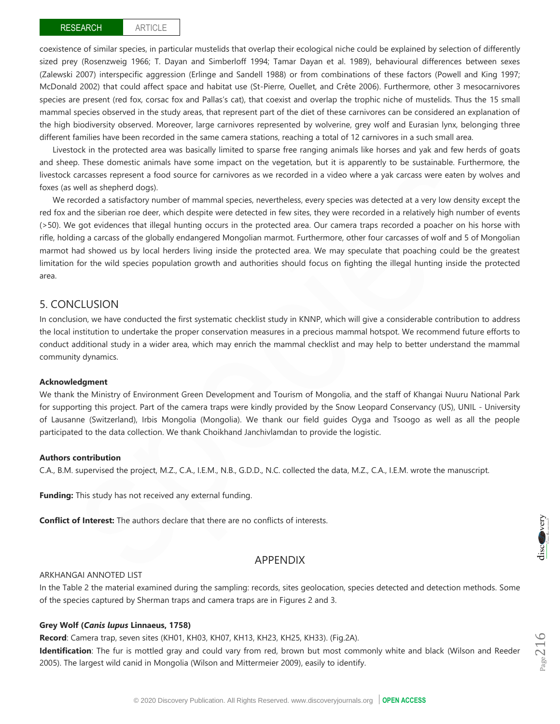coexistence of similar species, in particular mustelids that overlap their ecological niche could be explained by selection of differently sized prey (Rosenzweig 1966; T. Dayan and Simberloff 1994; Tamar Dayan et al. 1989), behavioural differences between sexes (Zalewski 2007) interspecific aggression (Erlinge and Sandell 1988) or from combinations of these factors (Powell and King 1997; McDonald 2002) that could affect space and habitat use (St-Pierre, Ouellet, and Crête 2006). Furthermore, other 3 mesocarnivores species are present (red fox, corsac fox and Pallas's cat), that coexist and overlap the trophic niche of mustelids. Thus the 15 small mammal species observed in the study areas, that represent part of the diet of these carnivores can be considered an explanation of the high biodiversity observed. Moreover, large carnivores represented by wolverine, grey wolf and Eurasian lynx, belonging three different families have been recorded in the same camera stations, reaching a total of 12 carnivores in a such small area.

Livestock in the protected area was basically limited to sparse free ranging animals like horses and yak and few herds of goats and sheep. These domestic animals have some impact on the vegetation, but it is apparently to be sustainable. Furthermore, the livestock carcasses represent a food source for carnivores as we recorded in a video where a yak carcass were eaten by wolves and foxes (as well as shepherd dogs).

We recorded a satisfactory number of mammal species, nevertheless, every species was detected at a very low density except the red fox and the siberian roe deer, which despite were detected in few sites, they were recorded in a relatively high number of events (>50). We got evidences that illegal hunting occurs in the protected area. Our camera traps recorded a poacher on his horse with rifle, holding a carcass of the globally endangered Mongolian marmot. Furthermore, other four carcasses of wolf and 5 of Mongolian marmot had showed us by local herders living inside the protected area. We may speculate that poaching could be the greatest limitation for the wild species population growth and authorities should focus on fighting the illegal hunting inside the protected area.

## 5. CONCLUSION

In conclusion, we have conducted the first systematic checklist study in KNNP, which will give a considerable contribution to address the local institution to undertake the proper conservation measures in a precious mammal hotspot. We recommend future efforts to conduct additional study in a wider area, which may enrich the mammal checklist and may help to better understand the mammal community dynamics.

#### **Acknowledgment**

We thank the Ministry of Environment Green Development and Tourism of Mongolia, and the staff of Khangai Nuuru National Park for supporting this project. Part of the camera traps were kindly provided by the Snow Leopard Conservancy (US), UNIL - University of Lausanne (Switzerland), Irbis Mongolia (Mongolia). We thank our field guides Oyga and Tsoogo as well as all the people participated to the data collection. We thank Choikhand Janchivlamdan to provide the logistic.

#### **Authors contribution**

C.A., B.M. supervised the project, M.Z., C.A., I.E.M., N.B., G.D.D., N.C. collected the data, M.Z., C.A., I.E.M. wrote the manuscript.

**Funding:** This study has not received any external funding.

**Conflict of Interest:** The authors declare that there are no conflicts of interests.

## APPENDIX

#### ARKHANGAI ANNOTED LIST

In the Table 2 the material examined during the sampling: records, sites geolocation, species detected and detection methods. Some of the species captured by Sherman traps and camera traps are in Figures 2 and 3.

#### **Grey Wolf (***Canis lupus* **Linnaeus, 1758)**

**Record**: Camera trap, seven sites (KH01, KH03, KH07, KH13, KH23, KH25, KH33). (Fig.2A).

**Identification**: The fur is mottled gray and could vary from red, brown but most commonly white and black (Wilson and Reeder 2005). The largest wild canid in Mongolia (Wilson and Mittermeier 2009), easily to identify.

**Nervery**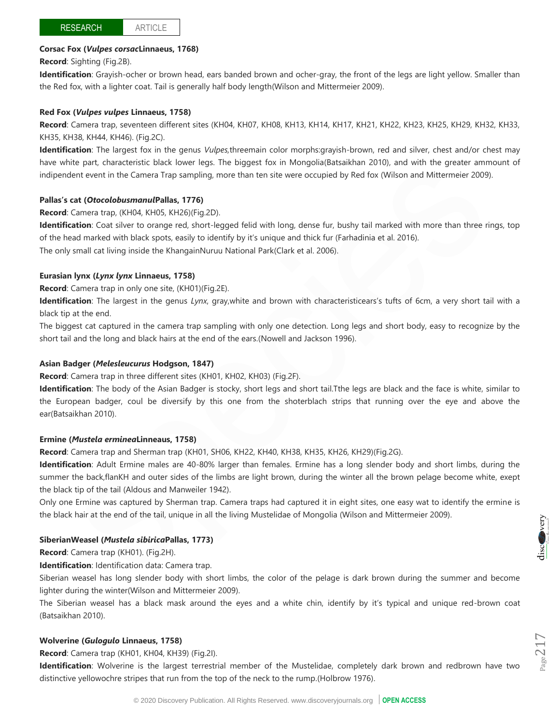## **Corsac Fox (***Vulpes corsac***Linnaeus, 1768)**

**Record**: Sighting (Fig.2B).

**Identification**: Grayish-ocher or brown head, ears banded brown and ocher-gray, the front of the legs are light yellow. Smaller than the Red fox, with a lighter coat. Tail is generally half body length(Wilson and Mittermeier 2009).

## **Red Fox (***Vulpes vulpes* **Linnaeus, 1758)**

**Record**: Camera trap, seventeen different sites (KH04, KH07, KH08, KH13, KH14, KH17, KH21, KH22, KH23, KH25, KH29, KH32, KH33, KH35, KH38, KH44, KH46). (Fig.2C).

**Identification**: The largest fox in the genus *Vulpes,*threemain color morphs:grayish-brown, red and silver, chest and/or chest may have white part, characteristic black lower legs. The biggest fox in Mongolia(Batsaikhan 2010), and with the greater ammount of indipendent event in the Camera Trap sampling, more than ten site were occupied by Red fox (Wilson and Mittermeier 2009).

## **Pallas's cat (***Otocolobusmanul***Pallas, 1776)**

## **Record**: Camera trap, (KH04, KH05, KH26)(Fig.2D).

**Identification**: Coat silver to orange red, short-legged felid with long, dense fur, bushy tail marked with more than three rings, top of the head marked with black spots, easily to identify by it's unique and thick fur (Farhadinia et al. 2016).

The only small cat living inside the KhangainNuruu National Park(Clark et al. 2006).

## **Eurasian lynx (***Lynx lynx* **Linnaeus, 1758)**

**Record**: Camera trap in only one site, (KH01)(Fig.2E).

**Identification**: The largest in the genus *Lynx*, gray,white and brown with characteristicears's tufts of 6cm, a very short tail with a black tip at the end.

The biggest cat captured in the camera trap sampling with only one detection. Long legs and short body, easy to recognize by the short tail and the long and black hairs at the end of the ears.(Nowell and Jackson 1996).

#### **Asian Badger (***Melesleucurus* **Hodgson, 1847)**

**Record**: Camera trap in three different sites (KH01, KH02, KH03) (Fig.2F).

**Identification**: The body of the Asian Badger is stocky, short legs and short tail.Tthe legs are black and the face is white, similar to the European badger, coul be diversify by this one from the shoterblach strips that running over the eye and above the ear(Batsaikhan 2010).

#### **Ermine (***Mustela erminea***Linneaus, 1758)**

**Record**: Camera trap and Sherman trap (KH01, SH06, KH22, KH40, KH38, KH35, KH26, KH29)(Fig.2G).

**Identification**: Adult Ermine males are 40-80% larger than females. Ermine has a long slender body and short limbs, during the summer the back,flanKH and outer sides of the limbs are light brown, during the winter all the brown pelage become white, exept the black tip of the tail (Aldous and Manweiler 1942).

Only one Ermine was captured by Sherman trap. Camera traps had captured it in eight sites, one easy wat to identify the ermine is the black hair at the end of the tail, unique in all the living Mustelidae of Mongolia (Wilson and Mittermeier 2009).

## **SiberianWeasel (***Mustela sibirica***Pallas, 1773)**

**Record**: Camera trap (KH01). (Fig.2H).

**Identification**: Identification data: Camera trap.

Siberian weasel has long slender body with short limbs, the color of the pelage is dark brown during the summer and become lighter during the winter(Wilson and Mittermeier 2009).

The Siberian weasel has a black mask around the eyes and a white chin, identify by it's typical and unique red-brown coat (Batsaikhan 2010).

## **Wolverine (***Gulogulo* **Linnaeus, 1758)**

**Record**: Camera trap (KH01, KH04, KH39) (Fig.2I).

**Identification**: Wolverine is the largest terrestrial member of the Mustelidae, completely dark brown and redbrown have two distinctive yellowochre stripes that run from the top of the neck to the rump.(Holbrow 1976).

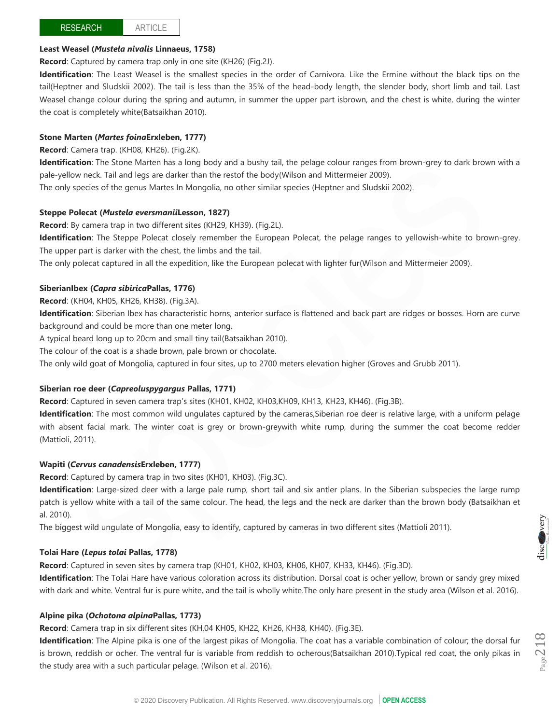ARTICLE

## **Least Weasel (***Mustela nivalis* **Linnaeus, 1758)**

**Record**: Captured by camera trap only in one site (KH26) (Fig.2J).

**Identification**: The Least Weasel is the smallest species in the order of Carnivora. Like the Ermine without the black tips on the tail(Heptner and Sludskii 2002). The tail is less than the 35% of the head-body length, the slender body, short limb and tail. Last Weasel change colour during the spring and autumn, in summer the upper part isbrown, and the chest is white, during the winter the coat is completely white(Batsaikhan 2010).

# **Stone Marten (***Martes foina***Erxleben, 1777)**

**Record**: Camera trap. (KH08, KH26). (Fig.2K).

**Identification**: The Stone Marten has a long body and a bushy tail, the pelage colour ranges from brown-grey to dark brown with a pale-yellow neck. Tail and legs are darker than the restof the body(Wilson and Mittermeier 2009).

The only species of the genus Martes In Mongolia, no other similar species (Heptner and Sludskii 2002).

# **Steppe Polecat (***Mustela eversmanii***Lesson, 1827)**

**Record**: By camera trap in two different sites (KH29, KH39). (Fig.2L).

**Identification**: The Steppe Polecat closely remember the European Polecat, the pelage ranges to yellowish-white to brown-grey. The upper part is darker with the chest, the limbs and the tail.

The only polecat captured in all the expedition, like the European polecat with lighter fur(Wilson and Mittermeier 2009).

# **SiberianIbex (***Capra sibirica***Pallas, 1776)**

# **Record**: (KH04, KH05, KH26, KH38). (Fig.3A).

**Identification**: Siberian Ibex has characteristic horns, anterior surface is flattened and back part are ridges or bosses. Horn are curve background and could be more than one meter long.

A typical beard long up to 20cm and small tiny tail(Batsaikhan 2010).

The colour of the coat is a shade brown, pale brown or chocolate.

The only wild goat of Mongolia, captured in four sites, up to 2700 meters elevation higher (Groves and Grubb 2011).

# **Siberian roe deer (***Capreoluspygargus* **Pallas, 1771)**

**Record**: Captured in seven camera trap's sites (KH01, KH02, KH03,KH09, KH13, KH23, KH46). (Fig.3B).

**Identification**: The most common wild ungulates captured by the cameras,Siberian roe deer is relative large, with a uniform pelage with absent facial mark. The winter coat is grey or brown-greywith white rump, during the summer the coat become redder (Mattioli, 2011).

# **Wapiti (***Cervus canadensis***Erxleben, 1777)**

**Record**: Captured by camera trap in two sites (KH01, KH03). (Fig.3C).

**Identification**: Large-sized deer with a large pale rump, short tail and six antler plans. In the Siberian subspecies the large rump patch is yellow white with a tail of the same colour. The head, the legs and the neck are darker than the brown body (Batsaikhan et al. 2010).

The biggest wild ungulate of Mongolia, easy to identify, captured by cameras in two different sites (Mattioli 2011).

# **Tolai Hare (***Lepus tolai* **Pallas, 1778)**

**Record**: Captured in seven sites by camera trap (KH01, KH02, KH03, KH06, KH07, KH33, KH46). (Fig.3D).

**Identification**: The Tolai Hare have various coloration across its distribution. Dorsal coat is ocher yellow, brown or sandy grey mixed with dark and white. Ventral fur is pure white, and the tail is wholly white.The only hare present in the study area (Wilson et al. 2016).

# **Alpine pika (***Ochotona alpina***Pallas, 1773)**

**Record**: Camera trap in six different sites (KH,04 KH05, KH22, KH26, KH38, KH40). (Fig.3E).

**Identification**: The Alpine pika is one of the largest pikas of Mongolia. The coat has a variable combination of colour; the dorsal fur is brown, reddish or ocher. The ventral fur is variable from reddish to ocherous(Batsaikhan 2010).Typical red coat, the only pikas in the study area with a such particular pelage. (Wilson et al. 2016).

wery disc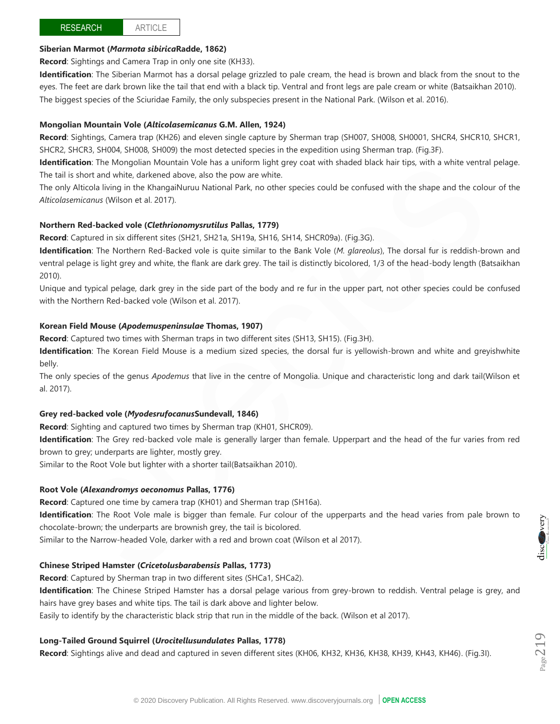# **RESEARCH**

ARTICLE

## **Siberian Marmot (***Marmota sibirica***Radde, 1862)**

**Record**: Sightings and Camera Trap in only one site (KH33).

**Identification**: The Siberian Marmot has a dorsal pelage grizzled to pale cream, the head is brown and black from the snout to the eyes. The feet are dark brown like the tail that end with a black tip. Ventral and front legs are pale cream or white (Batsaikhan 2010). The biggest species of the Sciuridae Family, the only subspecies present in the National Park. (Wilson et al. 2016).

#### **Mongolian Mountain Vole (***Alticolasemicanus* **G.M. Allen, 1924)**

**Record:** Sightings, Camera trap (KH26) and eleven single capture by Sherman trap (SH007, SH0008, SH0001, SHCR4, SHCR10, SHCR1, SHCR2, SHCR3, SH004, SH008, SH009) the most detected species in the expedition using Sherman trap. (Fig.3F).

**Identification**: The Mongolian Mountain Vole has a uniform light grey coat with shaded black hair tips, with a white ventral pelage. The tail is short and white, darkened above, also the pow are white.

The only Alticola living in the KhangaiNuruu National Park, no other species could be confused with the shape and the colour of the *Alticolasemicanus* (Wilson et al. 2017).

#### **Northern Red-backed vole (***Clethrionomysrutilus* **Pallas, 1779)**

**Record**: Captured in six different sites (SH21, SH21a, SH19a, SH16, SH14, SHCR09a). (Fig.3G).

**Identification**: The Northern Red-Backed vole is quite similar to the Bank Vole (*M. glareolus*), The dorsal fur is reddish-brown and ventral pelage is light grey and white, the flank are dark grey. The tail is distinctly bicolored, 1/3 of the head-body length (Batsaikhan 2010).

Unique and typical pelage, dark grey in the side part of the body and re fur in the upper part, not other species could be confused with the Northern Red-backed vole (Wilson et al. 2017).

#### **Korean Field Mouse (***Apodemuspeninsulae* **Thomas, 1907)**

**Record**: Captured two times with Sherman traps in two different sites (SH13, SH15). (Fig.3H).

**Identification**: The Korean Field Mouse is a medium sized species, the dorsal fur is yellowish-brown and white and greyishwhite belly.

The only species of the genus *Apodemus* that live in the centre of Mongolia. Unique and characteristic long and dark tail(Wilson et al. 2017).

#### **Grey red-backed vole (***Myodesrufocanus***Sundevall, 1846)**

**Record**: Sighting and captured two times by Sherman trap (KH01, SHCR09).

**Identification**: The Grey red-backed vole male is generally larger than female. Upperpart and the head of the fur varies from red brown to grey; underparts are lighter, mostly grey.

Similar to the Root Vole but lighter with a shorter tail(Batsaikhan 2010).

#### **Root Vole (***Alexandromys oeconomus* **Pallas, 1776)**

**Record**: Captured one time by camera trap (KH01) and Sherman trap (SH16a). **Identification**: The Root Vole male is bigger than female. Fur colour of the upperparts and the head varies from pale brown to chocolate-brown; the underparts are brownish grey, the tail is bicolored. Similar to the Narrow-headed Vole, darker with a red and brown coat (Wilson et al 2017).

#### **Chinese Striped Hamster (***Cricetolusbarabensis* **Pallas, 1773)**

**Record**: Captured by Sherman trap in two different sites (SHCa1, SHCa2).

**Identification**: The Chinese Striped Hamster has a dorsal pelage various from grey-brown to reddish. Ventral pelage is grey, and hairs have grey bases and white tips. The tail is dark above and lighter below.

Easily to identify by the characteristic black strip that run in the middle of the back. (Wilson et al 2017).

## **Long-Tailed Ground Squirrel (***Urocitellusundulates* **Pallas, 1778)**

**Record**: Sightings alive and dead and captured in seven different sites (KH06, KH32, KH36, KH38, KH39, KH43, KH46). (Fig.3I).

$$
\underline{\operatorname{disc}}_{\mathcal{C}_{\operatorname{sm}}\mathcal{C}_{\operatorname{sm}}}
$$
 very

 $P_{\rm age}$ 219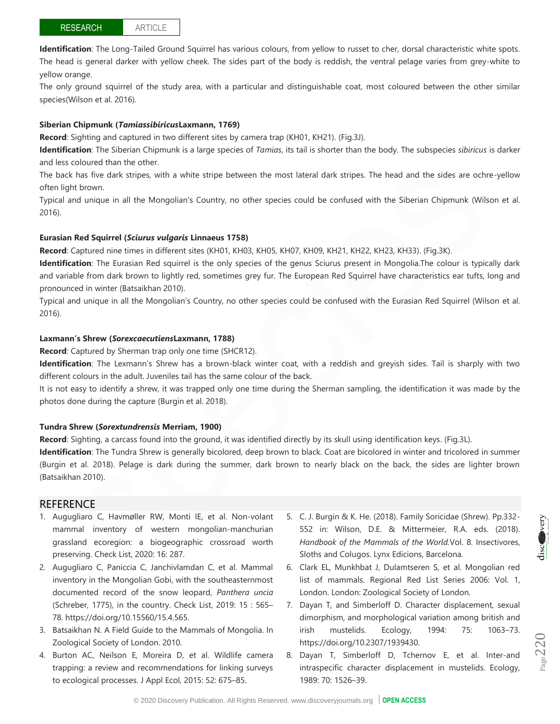**Identification**: The Long-Tailed Ground Squirrel has various colours, from yellow to russet to cher, dorsal characteristic white spots. The head is general darker with yellow cheek. The sides part of the body is reddish, the ventral pelage varies from grey-white to yellow orange.

The only ground squirrel of the study area, with a particular and distinguishable coat, most coloured between the other similar species(Wilson et al. 2016).

#### **Siberian Chipmunk (***Tamiassibiricus***Laxmann, 1769)**

**Record**: Sighting and captured in two different sites by camera trap (KH01, KH21). (Fig.3J).

**Identification**: The Siberian Chipmunk is a large species of *Tamias*, its tail is shorter than the body. The subspecies *sibiricus* is darker and less coloured than the other.

The back has five dark stripes, with a white stripe between the most lateral dark stripes. The head and the sides are ochre-yellow often light brown.

Typical and unique in all the Mongolian's Country, no other species could be confused with the Siberian Chipmunk (Wilson et al. 2016).

#### **Eurasian Red Squirrel (***Sciurus vulgaris* **Linnaeus 1758)**

**Record**: Captured nine times in different sites (KH01, KH03, KH05, KH07, KH09, KH21, KH22, KH23, KH33). (Fig.3K).

**Identification**: The Eurasian Red squirrel is the only species of the genus Sciurus present in Mongolia.The colour is typically dark and variable from dark brown to lightly red, sometimes grey fur. The European Red Squirrel have characteristics ear tufts, long and pronounced in winter (Batsaikhan 2010).

Typical and unique in all the Mongolian's Country, no other species could be confused with the Eurasian Red Squirrel (Wilson et al. 2016).

#### **Laxmann's Shrew (***Sorexcaecutiens***Laxmann, 1788)**

**Record**: Captured by Sherman trap only one time (SHCR12).

**Identification**: The Lexmann's Shrew has a brown-black winter coat, with a reddish and greyish sides. Tail is sharply with two different colours in the adult. Juveniles tail has the same colour of the back.

It is not easy to identify a shrew, it was trapped only one time during the Sherman sampling, the identification it was made by the photos done during the capture (Burgin et al. 2018).

#### **Tundra Shrew (***Sorextundrensis* **Merriam, 1900)**

**Record**: Sighting, a carcass found into the ground, it was identified directly by its skull using identification keys. (Fig.3L).

**Identification**: The Tundra Shrew is generally bicolored, deep brown to black. Coat are bicolored in winter and tricolored in summer (Burgin et al. 2018). Pelage is dark during the summer, dark brown to nearly black on the back, the sides are lighter brown (Batsaikhan 2010).

# **REFERENCE**

- 1. Augugliaro C, Havmøller RW, Monti IE, et al. Non-volant mammal inventory of western mongolian-manchurian grassland ecoregion: a biogeographic crossroad worth preserving. Check List, 2020: 16: 287.
- 2. Augugliaro C, Paniccia C, Janchivlamdan C, et al. Mammal inventory in the Mongolian Gobi, with the southeasternmost documented record of the snow leopard, *Panthera uncia* (Schreber, 1775), in the country. Check List, 2019: 15 : 565– 78. https://doi.org/10.15560/15.4.565.
- 3. Batsaikhan N. A Field Guide to the Mammals of Mongolia. In Zoological Society of London. 2010.
- 4. Burton AC, Neilson E, Moreira D, et al. Wildlife camera trapping: a review and recommendations for linking surveys to ecological processes. J Appl Ecol*,* 2015: 52: 675–85.
- 5. C. J. Burgin & K. He. (2018). Family Soricidae (Shrew). Pp.332- 552 in: Wilson, D.E. & Mittermeier, R.A. eds. (2018). *Handbook of the Mammals of the World.*Vol. 8. Insectivores, Sloths and Colugos. Lynx Edicions, Barcelona.
- 6. Clark EL, Munkhbat J, Dulamtseren S, et al. Mongolian red list of mammals. Regional Red List Series 2006: Vol. 1, London. London: Zoological Society of London.
- 7. Dayan T, and Simberloff D. Character displacement, sexual dimorphism, and morphological variation among british and irish mustelids. Ecology, 1994: 75: 1063–73. https://doi.org/10.2307/1939430.
- 8. Dayan T, Simberloff D, Tchernov E, et al. Inter-and intraspecific character displacement in mustelids. Ecology, 1989: 70: 1526–39.